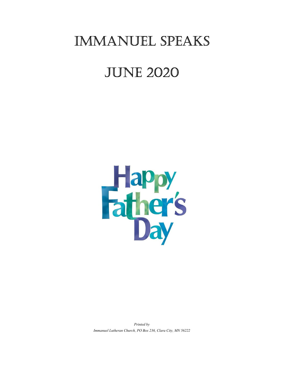## Immanuel SpeakS

# june 2020



Printed by Immanuel Lutheran Church, PO Box 236, Clara City, MN 56222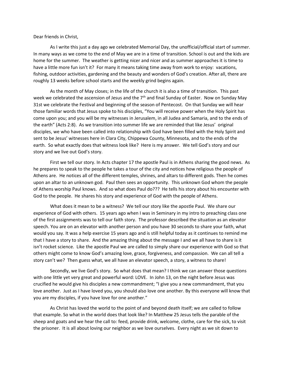Dear friends in Christ,

 As I write this just a day ago we celebrated Memorial Day, the unofficial/official start of summer. In many ways as we come to the end of May we are in a time of transition. School is out and the kids are home for the summer. The weather is getting nicer and nicer and as summer approaches it is time to have a little more fun isn't it? For many it means taking time away from work to enjoy: vacations, fishing, outdoor activities, gardening and the beauty and wonders of God's creation. After all, there are roughly 13 weeks before school starts and the weekly grind begins again.

 As the month of May closes; in the life of the church it is also a time of transition. This past week we celebrated the ascension of Jesus and the 7<sup>th</sup> and final Sunday of Easter. Now on Sunday May 31st we celebrate the Festival and beginning of the season of Pentecost. On that Sunday we will hear those familiar words that Jesus spoke to his disciples, "You will receive power when the Holy Spirit has come upon you; and you will be my witnesses in Jerusalem, in all Judea and Samaria, and to the ends of the earth" (Acts 2:8). As we transition into summer life we are reminded that like Jesus' original disciples, we who have been called into relationship with God have been filled with the Holy Spirit and sent to be Jesus' witnesses here in Clara City, Chippewa County, Minnesota, and to the ends of the earth. So what exactly does that witness look like? Here is my answer. We tell God's story and our story and we live out God's story.

First we tell our story. In Acts chapter 17 the apostle Paul is in Athens sharing the good news. As he prepares to speak to the people he takes a tour of the city and notices how religious the people of Athens are. He notices all of the different temples, shrines, and altars to different gods. Then he comes upon an altar to an unknown god. Paul then sees an opportunity. This unknown God whom the people of Athens worship Paul knows. And so what does Paul do??? He tells his story about his encounter with God to the people. He shares his story and experience of God with the people of Athens.

What does it mean to be a witness? We tell our story like the apostle Paul. We share our experience of God with others. 15 years ago when I was in Seminary in my intro to preaching class one of the first assignments was to tell our faith story. The professor described the situation as an elevator speech. You are on an elevator with another person and you have 30 seconds to share your faith, what would you say. It was a help exercise 15 years ago and is still helpful today as it continues to remind me that I have a story to share. And the amazing thing about the message I and we all have to share is it isn't rocket science. Like the apostle Paul we are called to simply share our experience with God so that others might come to know God's amazing love, grace, forgiveness, and compassion. We can all tell a story can't we? Then guess what, we all have an elevator speech, a story, a witness to share!

Secondly, we live God's story. So what does that mean? I think we can answer those questions with one little yet very great and powerful word: LOVE. In John 13, on the night before Jesus was crucified he would give his disciples a new commandment; "I give you a new commandment, that you love another. Just as I have loved you, you should also love one another. By this everyone will know that you are my disciples, if you have love for one another."

As Christ has loved the world to the point of and beyond death itself; we are called to follow that example. So what in the world does that look like? In Matthew 25 Jesus tells the parable of the sheep and goats and we hear the call to: feed, provide drink, welcome, clothe, care for the sick, to visit the prisoner. It is all about loving our neighbor as we love ourselves. Every night as we sit down to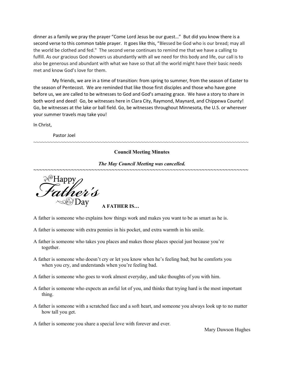dinner as a family we pray the prayer "Come Lord Jesus be our guest…" But did you know there is a second verse to this common table prayer. It goes like this, "Blessed be God who is our bread; may all the world be clothed and fed." The second verse continues to remind me that we have a calling to fulfill. As our gracious God showers us abundantly with all we need for this body and life, our call is to also be generous and abundant with what we have so that all the world might have their basic needs met and know God's love for them.

 My friends, we are in a time of transition: from spring to summer, from the season of Easter to the season of Pentecost. We are reminded that like those first disciples and those who have gone before us, we are called to be witnesses to God and God's amazing grace. We have a story to share in both word and deed! Go, be witnesses here in Clara City, Raymond, Maynard, and Chippewa County! Go, be witnesses at the lake or ball field. Go, be witnesses throughout Minnesota, the U.S. or wherever your summer travels may take you!

In Christ,

Pastor Joel

#### Council Meeting Minutes

~~~~~~~~~~~~~~~~~~~~~~~~~~~~~~~~~~~~~~~~~~~~~~~~~~~~~~~~~~~~~~~~~~~~~~~~~~~~~~

#### The May Council Meeting was cancelled. ~~~~~~~~~~~~~~~~~~~~~~~~~~~~~~~~~~~~~~~~~~~~~~~~~~~~~~~~~~~~~~~~~~~~~~~~~~

A FATHER IS…

- A father is someone who explains how things work and makes you want to be as smart as he is.
- A father is someone with extra pennies in his pocket, and extra warmth in his smile.
- A father is someone who takes you places and makes those places special just because you're together.
- A father is someone who doesn't cry or let you know when he's feeling bad; but he comforts you when you cry, and understands when you're feeling bad.
- A father is someone who goes to work almost everyday, and take thoughts of you with him.
- A father is someone who expects an awful lot of you, and thinks that trying hard is the most important thing.
- A father is someone with a scratched face and a soft heart, and someone you always look up to no matter how tall you get.

A father is someone you share a special love with forever and ever.

Mary Dawson Hughes